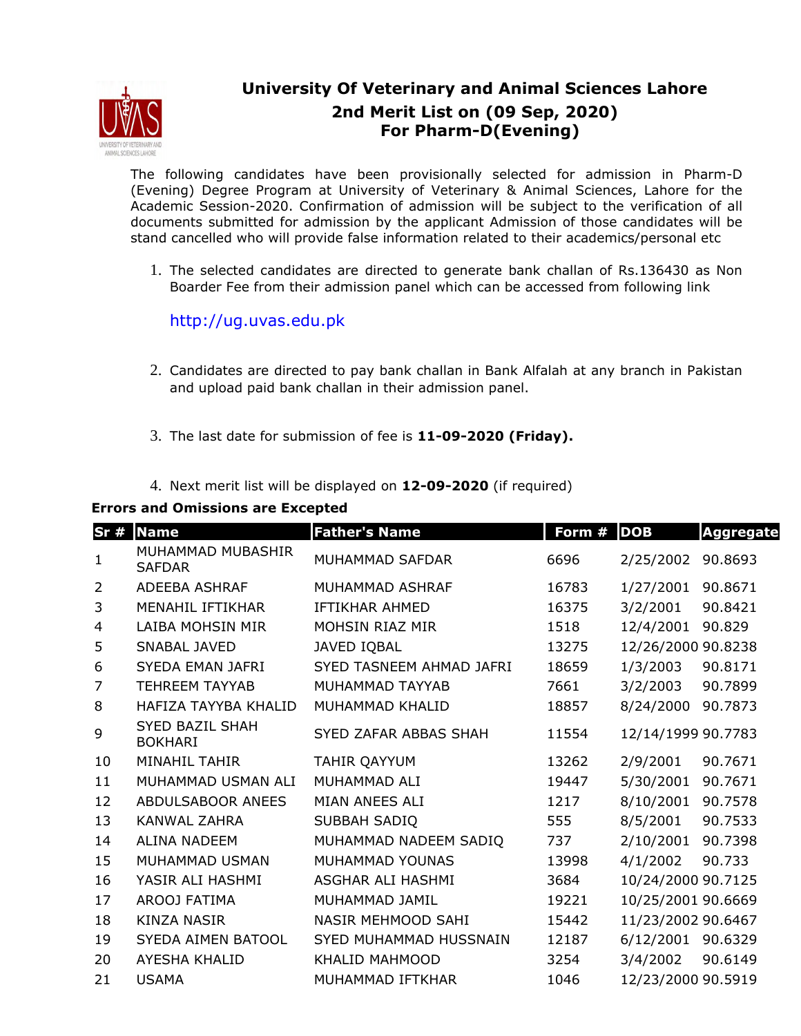

## **University Of Veterinary and Animal Sciences Lahore 2nd Merit List on (09 Sep, 2020) For Pharm-D(Evening)**

The following candidates have been provisionally selected for admission in Pharm-D (Evening) Degree Program at University of Veterinary & Animal Sciences, Lahore for the Academic Session-2020. Confirmation of admission will be subject to the verification of all documents submitted for admission by the applicant Admission of those candidates will be stand cancelled who will provide false information related to their academics/personal etc

1. The selected candidates are directed to generate bank challan of Rs.136430 as Non Boarder Fee from their admission panel which can be accessed from following link

http://ug.uvas.edu.pk

- 2. Candidates are directed to pay bank challan in Bank Alfalah at any branch in Pakistan and upload paid bank challan in their admission panel.
- 3. The last date for submission of fee is **11-09-2020 (Friday).**
- 4. Next merit list will be displayed on **12-09-2020** (if required)

## **Errors and Omissions are Excepted**

| Sr#            | <b>Name</b>                              | <b>Father's Name</b>      | Form # | <b>DOB</b>         | <b>Aggregate</b> |
|----------------|------------------------------------------|---------------------------|--------|--------------------|------------------|
| $\mathbf{1}$   | MUHAMMAD MUBASHIR<br><b>SAFDAR</b>       | MUHAMMAD SAFDAR           | 6696   | 2/25/2002          | 90.8693          |
| 2              | ADEEBA ASHRAF                            | MUHAMMAD ASHRAF           | 16783  | 1/27/2001          | 90.8671          |
| 3              | MENAHIL IFTIKHAR                         | <b>IFTIKHAR AHMED</b>     | 16375  | 3/2/2001           | 90.8421          |
| 4              | LAIBA MOHSIN MIR                         | <b>MOHSIN RIAZ MIR</b>    | 1518   | 12/4/2001          | 90.829           |
| 5              | <b>SNABAL JAVED</b>                      | <b>JAVED IQBAL</b>        | 13275  | 12/26/2000 90.8238 |                  |
| 6              | SYEDA EMAN JAFRI                         | SYED TASNEEM AHMAD JAFRI  | 18659  | 1/3/2003           | 90.8171          |
| $\overline{7}$ | <b>TEHREEM TAYYAB</b>                    | MUHAMMAD TAYYAB           | 7661   | 3/2/2003           | 90.7899          |
| 8              | HAFIZA TAYYBA KHALID                     | MUHAMMAD KHALID           | 18857  | 8/24/2000          | 90.7873          |
| 9              | <b>SYED BAZIL SHAH</b><br><b>BOKHARI</b> | SYED ZAFAR ABBAS SHAH     | 11554  | 12/14/1999 90.7783 |                  |
| 10             | <b>MINAHIL TAHIR</b>                     | TAHIR QAYYUM              | 13262  | 2/9/2001           | 90.7671          |
| 11             | MUHAMMAD USMAN ALI                       | MUHAMMAD ALI              | 19447  | 5/30/2001          | 90.7671          |
| 12             | ABDULSABOOR ANEES                        | MIAN ANEES ALI            | 1217   | 8/10/2001          | 90.7578          |
| 13             | <b>KANWAL ZAHRA</b>                      | SUBBAH SADIQ              | 555    | 8/5/2001           | 90.7533          |
| 14             | <b>ALINA NADEEM</b>                      | MUHAMMAD NADEEM SADIQ     | 737    | 2/10/2001          | 90.7398          |
| 15             | MUHAMMAD USMAN                           | MUHAMMAD YOUNAS           | 13998  | 4/1/2002           | 90.733           |
| 16             | YASIR ALI HASHMI                         | ASGHAR ALI HASHMI         | 3684   | 10/24/2000 90.7125 |                  |
| 17             | AROOJ FATIMA                             | MUHAMMAD JAMIL            | 19221  | 10/25/2001 90.6669 |                  |
| 18             | <b>KINZA NASIR</b>                       | <b>NASIR MEHMOOD SAHI</b> | 15442  | 11/23/2002 90.6467 |                  |
| 19             | <b>SYEDA AIMEN BATOOL</b>                | SYED MUHAMMAD HUSSNAIN    | 12187  | 6/12/2001 90.6329  |                  |
| 20             | <b>AYESHA KHALID</b>                     | KHALID MAHMOOD            | 3254   | 3/4/2002           | 90.6149          |
| 21             | <b>USAMA</b>                             | MUHAMMAD IFTKHAR          | 1046   | 12/23/2000 90.5919 |                  |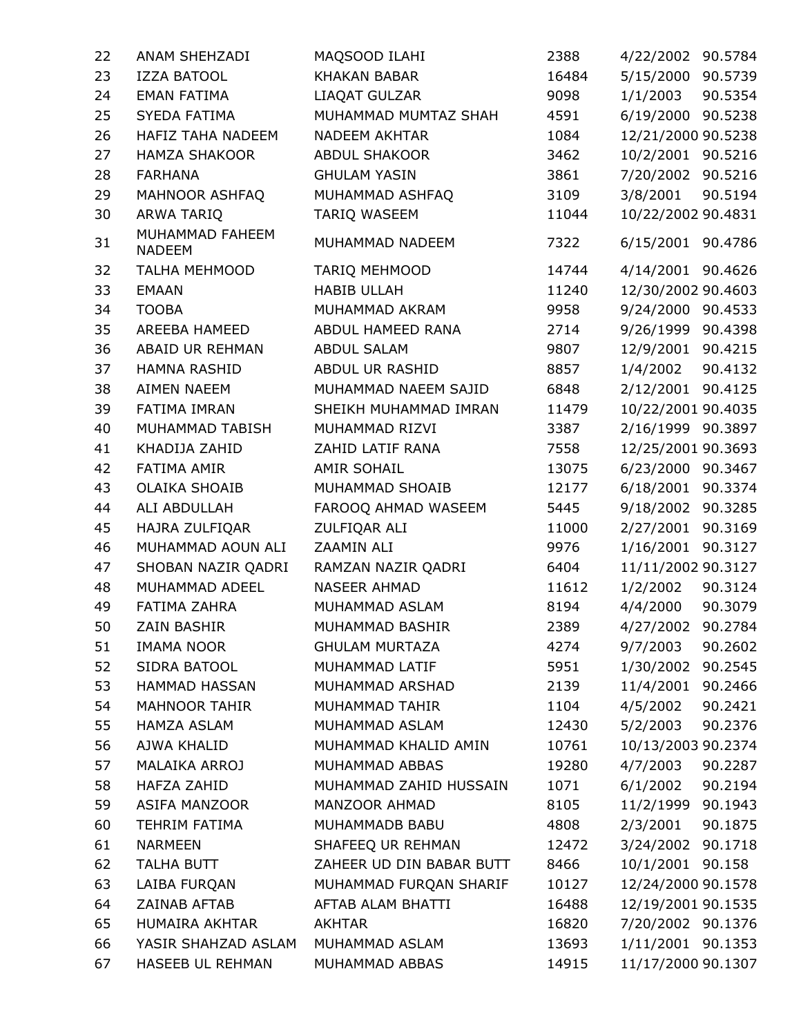| 22 | ANAM SHEHZADI                    | MAQSOOD ILAHI            | 2388  | 4/22/2002 90.5784    |
|----|----------------------------------|--------------------------|-------|----------------------|
| 23 | <b>IZZA BATOOL</b>               | <b>KHAKAN BABAR</b>      | 16484 | 5/15/2000 90.5739    |
| 24 | <b>EMAN FATIMA</b>               | LIAQAT GULZAR            | 9098  | 1/1/2003<br>90.5354  |
| 25 | <b>SYEDA FATIMA</b>              | MUHAMMAD MUMTAZ SHAH     | 4591  | 6/19/2000<br>90.5238 |
| 26 | <b>HAFIZ TAHA NADEEM</b>         | <b>NADEEM AKHTAR</b>     | 1084  | 12/21/2000 90.5238   |
| 27 | <b>HAMZA SHAKOOR</b>             | <b>ABDUL SHAKOOR</b>     | 3462  | 10/2/2001 90.5216    |
| 28 | <b>FARHANA</b>                   | <b>GHULAM YASIN</b>      | 3861  | 7/20/2002 90.5216    |
| 29 | MAHNOOR ASHFAQ                   | MUHAMMAD ASHFAQ          | 3109  | 3/8/2001<br>90.5194  |
| 30 | ARWA TARIQ                       | TARIQ WASEEM             | 11044 | 10/22/2002 90.4831   |
| 31 | MUHAMMAD FAHEEM<br><b>NADEEM</b> | MUHAMMAD NADEEM          | 7322  | 6/15/2001<br>90.4786 |
| 32 | <b>TALHA MEHMOOD</b>             | <b>TARIQ MEHMOOD</b>     | 14744 | 4/14/2001 90.4626    |
| 33 | <b>EMAAN</b>                     | <b>HABIB ULLAH</b>       | 11240 | 12/30/2002 90.4603   |
| 34 | <b>TOOBA</b>                     | MUHAMMAD AKRAM           | 9958  | 9/24/2000 90.4533    |
| 35 | AREEBA HAMEED                    | ABDUL HAMEED RANA        | 2714  | 9/26/1999 90.4398    |
| 36 | ABAID UR REHMAN                  | <b>ABDUL SALAM</b>       | 9807  | 12/9/2001 90.4215    |
| 37 | <b>HAMNA RASHID</b>              | ABDUL UR RASHID          | 8857  | 1/4/2002<br>90.4132  |
| 38 | <b>AIMEN NAEEM</b>               | MUHAMMAD NAEEM SAJID     | 6848  | 2/12/2001 90.4125    |
| 39 | <b>FATIMA IMRAN</b>              | SHEIKH MUHAMMAD IMRAN    | 11479 | 10/22/2001 90.4035   |
| 40 | MUHAMMAD TABISH                  | MUHAMMAD RIZVI           | 3387  | 2/16/1999 90.3897    |
| 41 | KHADIJA ZAHID                    | ZAHID LATIF RANA         | 7558  | 12/25/2001 90.3693   |
| 42 | <b>FATIMA AMIR</b>               | <b>AMIR SOHAIL</b>       | 13075 | 6/23/2000 90.3467    |
| 43 | <b>OLAIKA SHOAIB</b>             | MUHAMMAD SHOAIB          | 12177 | 6/18/2001 90.3374    |
| 44 | ALI ABDULLAH                     | FAROOQ AHMAD WASEEM      | 5445  | 9/18/2002<br>90.3285 |
| 45 | HAJRA ZULFIQAR                   | ZULFIQAR ALI             | 11000 | 2/27/2001 90.3169    |
| 46 | MUHAMMAD AOUN ALI                | ZAAMIN ALI               | 9976  | 1/16/2001<br>90.3127 |
| 47 | SHOBAN NAZIR QADRI               | RAMZAN NAZIR QADRI       | 6404  | 11/11/2002 90.3127   |
| 48 | MUHAMMAD ADEEL                   | <b>NASEER AHMAD</b>      | 11612 | 1/2/2002<br>90.3124  |
| 49 | FATIMA ZAHRA                     | MUHAMMAD ASLAM           | 8194  | 4/4/2000<br>90.3079  |
| 50 | <b>ZAIN BASHIR</b>               | MUHAMMAD BASHIR          | 2389  | 4/27/2002<br>90.2784 |
| 51 | <b>IMAMA NOOR</b>                | <b>GHULAM MURTAZA</b>    | 4274  | 9/7/2003<br>90.2602  |
| 52 | SIDRA BATOOL                     | MUHAMMAD LATIF           | 5951  | 1/30/2002 90.2545    |
| 53 | HAMMAD HASSAN                    | MUHAMMAD ARSHAD          | 2139  | 11/4/2001<br>90.2466 |
| 54 | <b>MAHNOOR TAHIR</b>             | MUHAMMAD TAHIR           | 1104  | 4/5/2002<br>90.2421  |
| 55 | <b>HAMZA ASLAM</b>               | MUHAMMAD ASLAM           | 12430 | 5/2/2003<br>90.2376  |
| 56 | AJWA KHALID                      | MUHAMMAD KHALID AMIN     | 10761 | 10/13/2003 90.2374   |
| 57 | MALAIKA ARROJ                    | MUHAMMAD ABBAS           | 19280 | 4/7/2003<br>90.2287  |
| 58 | HAFZA ZAHID                      | MUHAMMAD ZAHID HUSSAIN   | 1071  | 6/1/2002<br>90.2194  |
| 59 | ASIFA MANZOOR                    | MANZOOR AHMAD            | 8105  | 11/2/1999 90.1943    |
| 60 | <b>TEHRIM FATIMA</b>             | MUHAMMADB BABU           | 4808  | 2/3/2001<br>90.1875  |
| 61 | <b>NARMEEN</b>                   | SHAFEEQ UR REHMAN        | 12472 | 3/24/2002 90.1718    |
| 62 | TALHA BUTT                       | ZAHEER UD DIN BABAR BUTT | 8466  | 10/1/2001 90.158     |
| 63 | LAIBA FURQAN                     | MUHAMMAD FURQAN SHARIF   | 10127 | 12/24/2000 90.1578   |
| 64 | ZAINAB AFTAB                     | AFTAB ALAM BHATTI        | 16488 | 12/19/2001 90.1535   |
| 65 | HUMAIRA AKHTAR                   | AKHTAR                   | 16820 | 7/20/2002 90.1376    |
| 66 | YASIR SHAHZAD ASLAM              | MUHAMMAD ASLAM           | 13693 | 1/11/2001 90.1353    |
| 67 | HASEEB UL REHMAN                 | MUHAMMAD ABBAS           | 14915 | 11/17/2000 90.1307   |